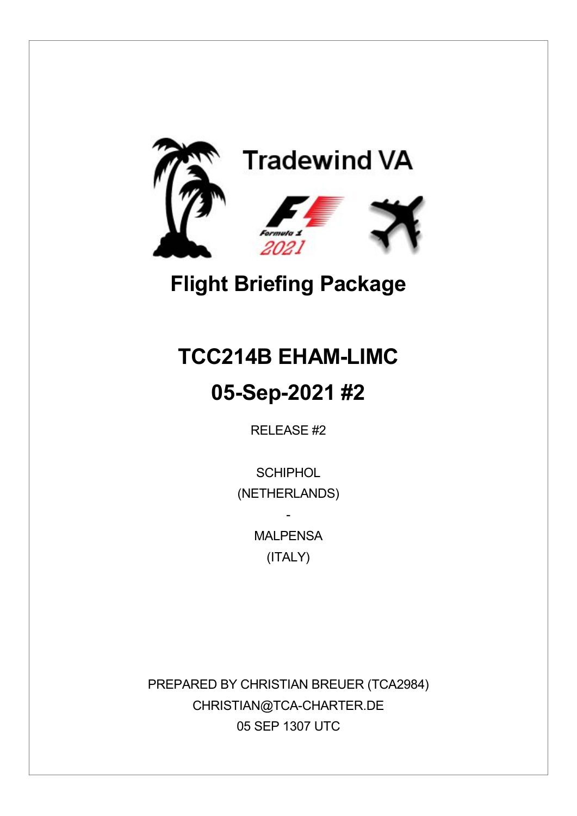

## **Flight Briefing Package**

# **TCC214B EHAM-LIMC 05-Sep-2021 #2**

RELEASE #2

**SCHIPHOL** (NETHERLANDS)

> **MAI PFNSA** (ITALY)

-

PREPARED BY CHRISTIAN BREUER (TCA2984) CHRISTIAN@TCA-CHARTER.DE 05 SEP 1307 UTC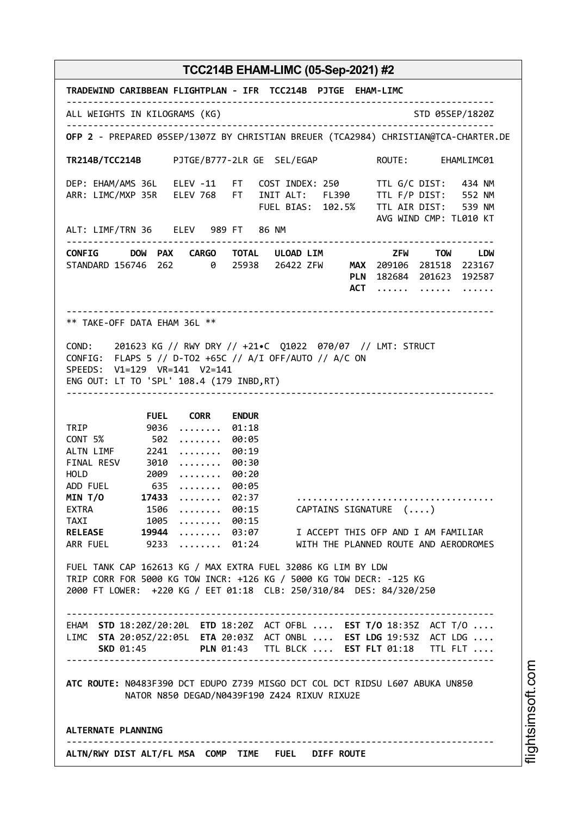| TRADEWIND CARIBBEAN FLIGHTPLAN - IFR TCC214B PJTGE EHAM-LIMC                                                                                                                                                 |
|--------------------------------------------------------------------------------------------------------------------------------------------------------------------------------------------------------------|
| ALL WEIGHTS IN KILOGRAMS (KG)<br>STD 05SEP/1820Z                                                                                                                                                             |
| OFP 2 - PREPARED 05SEP/1307Z BY CHRISTIAN BREUER (TCA2984) CHRISTIAN@TCA-CHARTER.DE                                                                                                                          |
| TR214B/TCC214B PJTGE/B777-2LR GE SEL/EGAP<br>ROUTE: EHAMLIMC01                                                                                                                                               |
| DEP: EHAM/AMS 36L ELEV -11 FT COST INDEX: 250 TTL G/C DIST: 434 NM<br>ARR: LIMC/MXP 35R ELEV 768 FT INIT ALT: FL390 TTL F/P DIST: 552 NM<br>FUEL BIAS: 102.5% TTL AIR DIST: 539 NM<br>AVG WIND CMP: TL010 KT |
| ALT: LIMF/TRN 36 ELEV 989 FT 86 NM                                                                                                                                                                           |
| CONFIG DOW PAX CARGO TOTAL ULOAD_LIM TOW TOW LDW<br>STANDARD 156746 262 0 25938 26422 ZFW MAX 209106 281518 223167<br>PLN 182684 201623 192587<br>$ACT$<br>.                                                 |
| ** TAKE-OFF DATA EHAM 36L **                                                                                                                                                                                 |
| COND: 201623 KG // RWY DRY // +21.C Q1022 070/07 // LMT: STRUCT<br>CONFIG: FLAPS 5 // D-TO2 +65C // A/I OFF/AUTO // A/C ON<br>SPEEDS: V1=129 VR=141 V2=141<br>ENG OUT: LT TO 'SPL' 108.4 (179 INBD, RT)      |
| <b>FUEL CORR</b><br><b>ENDUR</b>                                                                                                                                                                             |
| TRIP 9036<br>01:18<br>.<br>CONT 5% 502<br>00:05<br>.<br>00:19<br>ALTN LIMF 2241<br>.<br>FINAL RESV 3010<br>00:30<br>.<br>HOLD 2009<br>00:20<br>.<br>ADD FUEL 635<br>$ \dots 00:05$<br>MIN T/O 17433<br>02:37 |
| .<br>EXTRA 1506<br>$\dots\dots \ 90:15$<br>CAPTAINS SIGNATURE ()                                                                                                                                             |
| TAXI 1005<br>$ \dots 00:15$<br>RELEASE 19944<br>03:07 I ACCEPT THIS OFP AND I AM FAMILIAR<br>ARR FUEL 9233<br>01:24 WITH THE PLANNED ROUTE AND AERODROMES                                                    |
| FUEL TANK CAP 162613 KG / MAX EXTRA FUEL 32086 KG LIM BY LDW<br>TRIP CORR FOR 5000 KG TOW INCR: +126 KG / 5000 KG TOW DECR: -125 KG<br>2000 FT LOWER: +220 KG / EET 01:18 CLB: 250/310/84 DES: 84/320/250    |
| EHAM STD 18:20Z/20:20L ETD 18:20Z ACT OFBL  EST T/O 18:35Z ACT T/O<br>LIMC STA 20:05Z/22:05L ETA 20:03Z ACT ONBL  EST LDG 19:53Z ACT LDG<br>SKD 01:45 PLN 01:43 TTL BLCK  EST FLT 01:18 TTL FLT              |
| ATC ROUTE: N0483F390 DCT EDUPO Z739 MISGO DCT COL DCT RIDSU L607 ABUKA UN850<br>NATOR N850 DEGAD/N0439F190 Z424 RIXUV RIXU2E                                                                                 |
| ALTERNATE PLANNING                                                                                                                                                                                           |
| ALTN/RWY DIST ALT/FL MSA COMP TIME FUEL DIFF ROUTE                                                                                                                                                           |

i⊒<br>⊫ htsim soft.c o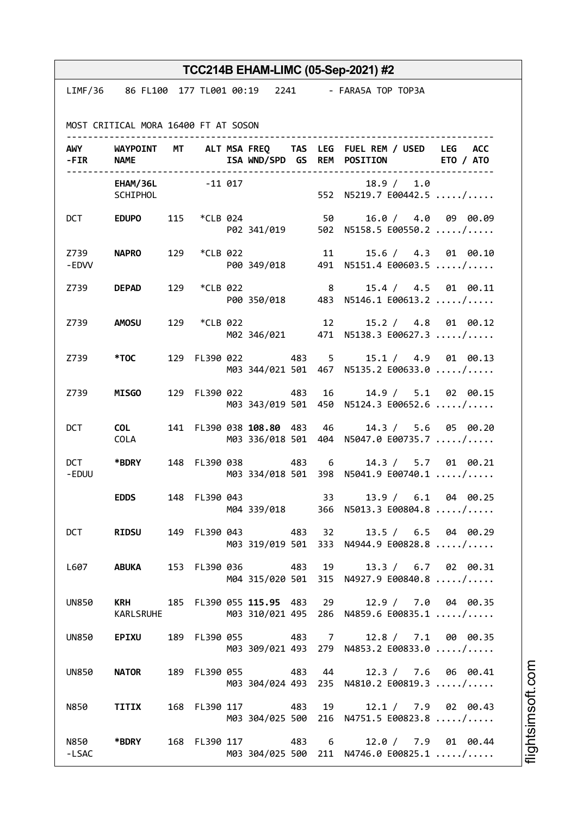|                            |                                                                                                                                                                                                                                |     |          |                             |     |                         | TCC214B EHAM-LIMC (05-Sep-2021) #2                                                                    |
|----------------------------|--------------------------------------------------------------------------------------------------------------------------------------------------------------------------------------------------------------------------------|-----|----------|-----------------------------|-----|-------------------------|-------------------------------------------------------------------------------------------------------|
|                            |                                                                                                                                                                                                                                |     |          |                             |     |                         | LIMF/36 86 FL100 177 TL001 00:19 2241 - FARA5A TOP TOP3A                                              |
|                            |                                                                                                                                                                                                                                |     |          |                             |     |                         |                                                                                                       |
|                            | MOST CRITICAL MORA 16400 FT AT SOSON                                                                                                                                                                                           |     |          |                             |     |                         |                                                                                                       |
| -FIR NAME                  |                                                                                                                                                                                                                                |     |          | .                           |     |                         | AWY WAYPOINT MT ALT MSA FREQ TAS LEG FUEL REM / USED LEG ACC<br>ISA WND/SPD GS REM POSITION ETO / ATO |
|                            | EHAM/36L -11 017<br>SCHIPHOL                                                                                                                                                                                                   |     |          |                             |     |                         | 18.9 / 1.0<br>552 N5219.7 E00442.5 /                                                                  |
|                            | DCT EDUPO                                                                                                                                                                                                                      |     |          | 115 *CLB 024 50             |     |                         | 16.0 / 4.0 09 00.09<br>P02 341/019 502 N5158.5 E00550.2 /                                             |
| Z739 <b>Sand</b><br>- EDVV | <b>NAPRO</b>                                                                                                                                                                                                                   | 129 | *CLB 022 | 11                          |     |                         | 15.6 / 4.3 01 00.10<br>P00 349/018 491 N5151.4 E00603.5 /                                             |
|                            | Z739 <b>DEPAD</b>                                                                                                                                                                                                              | 129 | *CLB 022 |                             |     | $\overline{\mathbf{8}}$ | 15.4 / 4.5 01 00.11<br>P00 350/018 483 N5146.1 E00613.2 /                                             |
|                            | Z739 AMOSU                                                                                                                                                                                                                     | 129 | *CLB 022 |                             |     | 12                      | 15.2 / 4.8 01 00.12<br>M02 346/021 471 N5138.3 E00627.3 /                                             |
| Z739 <b>Z</b>              | *TOC to the set of the set of the set of the set of the set of the set of the set of the set of the set of the set of the set of the set of the set of the set of the set of the set of the set of the set of the set of the s |     |          |                             |     |                         | 129 FL390 022 483 5 15.1 / 4.9 01 00.13<br>M03 344/021 501 467 N5135.2 E00633.0 /                     |
| Z739                       | <b>MISGO</b>                                                                                                                                                                                                                   |     |          | 129 FL390 022               | 483 | 16                      | 14.9 / 5.1 02 00.15<br>M03 343/019 501 450 N5124.3 E00652.6 /                                         |
| <b>DCT</b>                 | <b>COL</b><br>COLA                                                                                                                                                                                                             |     |          | 141 FL390 038 108.80 483 46 |     |                         | 14.3 / 5.6 05 00.20<br>M03 336/018 501 404 N5047.0 E00735.7 /                                         |
| -EDUU                      | DCT *BDRY                                                                                                                                                                                                                      |     |          | 148 FL390 038 483 6         |     |                         | 14.3 / 5.7 01 00.21<br>M03 334/018 501 398 N5041.9 E00740.1 /                                         |
|                            | <b>EDDS</b>                                                                                                                                                                                                                    |     |          |                             |     |                         | 148 FL390 043 33 13.9 / 6.1 04 00.25<br>M04 339/018 366 N5013.3 E00804.8 /                            |
| <b>DCT</b>                 | <b>RIDSU</b>                                                                                                                                                                                                                   |     |          |                             |     |                         | 149 FL390 043 483 32 13.5 / 6.5 04 00.29<br>M03 319/019 501 333 N4944.9 E00828.8 /                    |
| L607 L                     | ABUKA                                                                                                                                                                                                                          |     |          |                             |     |                         | 153 FL390 036 483 19 13.3 / 6.7 02 00.31<br>M04 315/020 501 315 N4927.9 E00840.8 /                    |
| <b>UN850</b>               | KARLSRUHE                                                                                                                                                                                                                      |     |          |                             |     |                         | KRH 185 FL390 055 115.95 483 29 12.9 / 7.0 04 00.35<br>M03 310/021 495 286 N4859.6 E00835.1 /         |
| <b>UN850</b>               | <b>EPIXU</b>                                                                                                                                                                                                                   |     |          |                             |     |                         | 189 FL390 055 483 7 12.8 / 7.1 00 00.35<br>M03 309/021 493 279 N4853.2 E00833.0 /                     |
| <b>UN850</b>               | <b>NATOR</b>                                                                                                                                                                                                                   |     |          |                             |     |                         | 189 FL390 055 483 44 12.3 / 7.6 06 00.41<br>M03 304/024 493 235 N4810.2 E00819.3 /                    |
|                            | N850 TITIX                                                                                                                                                                                                                     |     |          |                             |     |                         | 168 FL390 117 483 19 12.1 / 7.9 02 00.43<br>M03 304/025 500 216 N4751.5 E00823.8 /                    |
| N850 <b>N</b><br>-LSAC     | *BDRY                                                                                                                                                                                                                          |     |          |                             |     |                         | 168 FL390 117 483 6 12.0 / 7.9 01 00.44<br>M03 304/025 500 211 N4746.0 E00825.1 /                     |

htsim s oft.c o

m

i⊒<br>⊫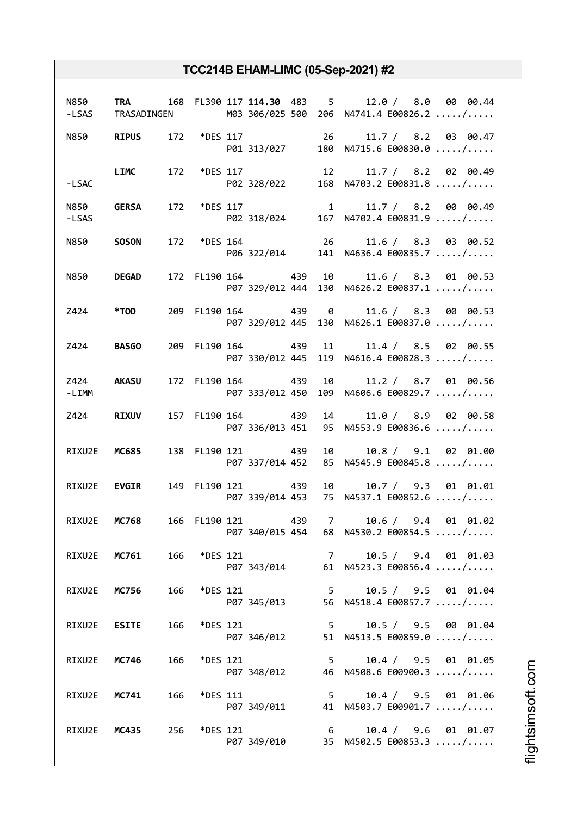|              |                     |     |                 |                   | N850 TRA 168 FL390 117 114.30 483 5 12.0 / 8.0 00 00.44<br>-LSAS TRASADINGEN M03 306/025 500 206 N4741.4 E00826.2 / |
|--------------|---------------------|-----|-----------------|-------------------|---------------------------------------------------------------------------------------------------------------------|
|              |                     |     |                 |                   | N850 RIPUS 172 *DES 117 26 11.7 / 8.2 03 00.47<br>P01 313/027 180 N4715.6 E00830.0 /                                |
| $-LSAC$      |                     |     |                 |                   | LIMC 172 *DES 117 12 11.7 / 8.2 02 00.49<br>P02 328/022 168 N4703.2 E00831.8 /                                      |
| -LSAS        | N850 GERSA          |     |                 |                   | 172 *DES 117 $11.7 / 8.2$ 00 00.49<br>P02 318/024 167 N4702.4 E00831.9 /                                            |
|              | N850 <b>SOSON</b>   |     |                 |                   | 172 *DES 164 26 11.6 / 8.3 03 00.52<br>P06 322/014 141 N4636.4 E00835.7 /                                           |
|              | N850 DEGAD          |     |                 |                   | 172 FL190 164 439 10 11.6 / 8.3 01 00.53<br>P07 329/012 444 130 N4626.2 E00837.1 /                                  |
|              | Z424 *TOD           |     |                 |                   | 209 FL190 164 439 0 11.6 / 8.3 00 00.53<br>P07 329/012 445 130 N4626.1 E00837.0 /                                   |
|              | <b>Z424 BASGO</b>   |     |                 |                   | 209 FL190 164 439 11 11.4 / 8.5 02 00.55<br>P07 330/012 445 119 N4616.4 E00828.3 /                                  |
| $-LIMM$      | Z424 AKASU          |     |                 |                   | 172 FL190 164 439 10 11.2 / 8.7 01 00.56<br>P07 333/012 450 109 N4606.6 E00829.7 /                                  |
|              | Z424 RIXUV          |     |                 | 157 FL190 164 439 | 14 11.0 / 8.9 02 00.58<br>P07 336/013 451 95 N4553.9 E00836.6 /                                                     |
|              | RIXU2E MC685        |     |                 | 138 FL190 121 439 | 10 10.8 / 9.1 02 01.00<br>P07 337/014 452 85 N4545.9 E00845.8 /                                                     |
|              | RIXU2E <b>EVGIR</b> |     |                 | 149 FL190 121 439 | 10 10.7 / 9.3 01 01.01<br>P07 339/014 453 75 N4537.1 E00852.6 /                                                     |
| RIXU2E MC768 |                     |     |                 | 166 FL190 121 439 | 7 10.6 / 9.4 01 01.02<br>P07 340/015 454 68 N4530.2 E00854.5 /                                                      |
|              | RIXU2E MC761 166    |     | *DES 121        |                   | 7 10.5 / 9.4 01 01.03<br>P07 343/014 61 N4523.3 E00856.4 /                                                          |
| RIXU2E       | <b>MC756</b>        | 166 | *DES 121        | P07 345/013       | 5 10.5 / 9.5 01 01.04<br>56 N4518.4 E00857.7 /                                                                      |
| RIXU2E       | <b>ESITE</b>        | 166 | <i>*DES</i> 121 | P07 346/012       | 5 10.5 / 9.5 00 01.04<br>51 N4513.5 E00859.0 /                                                                      |
| RIXU2E       | <b>MC746</b>        | 166 | <i>*DES</i> 121 |                   | 5 10.4 / 9.5 01 01.05<br>P07 348/012 46 N4508.6 E00900.3 /                                                          |
| RIXU2E       | <b>MC741</b>        | 166 | <i>*DES</i> 111 |                   | 5 10.4 / 9.5 01 01.06<br>P07 349/011 41 N4503.7 E00901.7 /                                                          |
| RIXU2E       | MC435 256           |     | *DES 121        |                   | $6$ 10.4 / 9.6 01 01.07<br>P07 349/010 35 N4502.5 E00853.3 /                                                        |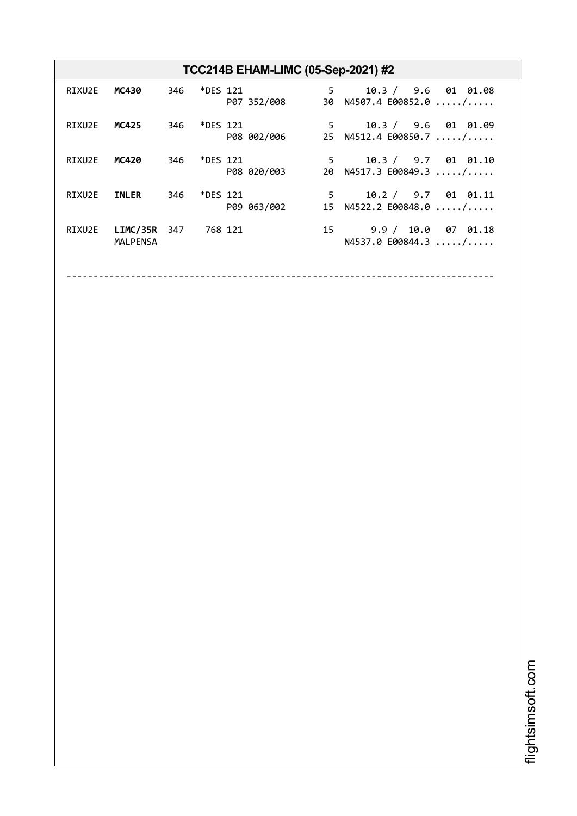| TCC214B EHAM-LIMC (05-Sep-2021) #2 |                                    |     |                 |             |  |                                                                 |  |  |
|------------------------------------|------------------------------------|-----|-----------------|-------------|--|-----------------------------------------------------------------|--|--|
| RIXU2E                             | MC430                              |     | 346 *DES 121    | P07 352/008 |  | $5^{\circ}$<br>10.3 / 9.6 01 01.08<br>30 N4507.4 E00852.0 /     |  |  |
| RIXU2E                             | MC425                              | 346 | *DES 121        | P08 002/006 |  | $5^{\circ}$<br>10.3 / 9.6 01 01.09<br>25 N4512.4 E00850.7 /     |  |  |
| RIXU2E                             | MC420                              | 346 | *DES 121        | P08 020/003 |  | $5^{\circ}$<br>10.3 / 9.7 01 01.10<br>20 N4517.3 E00849.3 /     |  |  |
| RIXU2E                             | <b>INLER</b>                       | 346 | <i>*DES</i> 121 | P09 063/002 |  | 10.2 / 9.7 01 01.11<br>$5^{\circ}$<br>15 $N4522.2 E00848.0  / $ |  |  |
| RIXU2E                             | <b>LIMC/35R</b><br><b>MALPENSA</b> | 347 | 768 121         |             |  | 15 9.9 / 10.0 07 01.18<br>N4537.0 E00844.3  /                   |  |  |

--------------------------------------------------------------------------------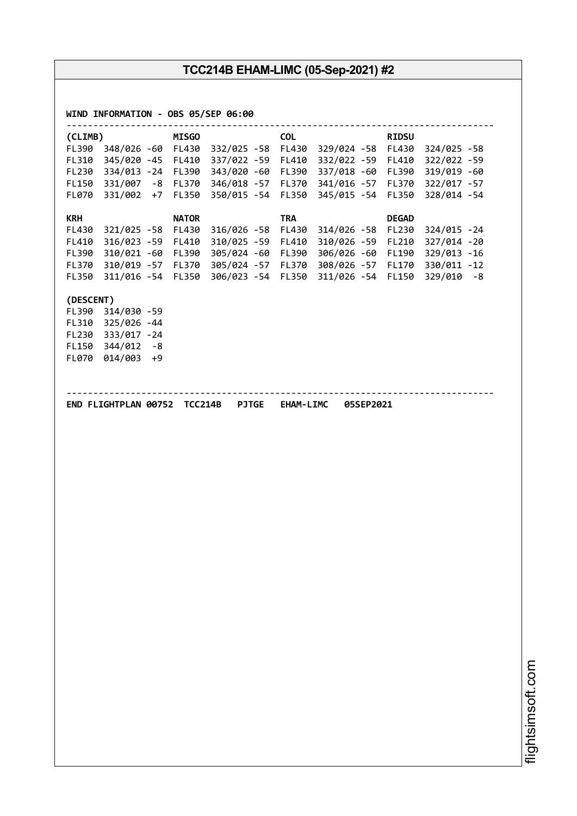| (CLIMB)        |                   | <b>MISGO</b> |                                                                      | <b>COL</b>   |                                                        | <b>RIDSU</b> |                              |
|----------------|-------------------|--------------|----------------------------------------------------------------------|--------------|--------------------------------------------------------|--------------|------------------------------|
| FL390          |                   |              | 348/026 -60 FL430 332/025 -58 FL430                                  |              | 329/024 -58 FL430                                      |              | 324/025 -58                  |
| FL310          |                   |              | 345/020 -45 FL410 337/022 -59                                        | FL410        | 332/022 -59 FL410                                      |              | 322/022 -59                  |
| FL230          |                   |              | 334/013 -24 FL390 343/020 -60                                        | FL390        | 337/018 -60 FL390                                      |              | 319/019 -60                  |
| FL150          |                   |              | 331/007 -8 FL370 346/018 -57                                         | <b>FL370</b> | 341/016 -57                                            | <b>FL370</b> | 322/017 -57                  |
| FL070          |                   |              | 331/002 +7 FL350 350/015 -54                                         | <b>FL350</b> | 345/015 -54 FL350                                      |              | 328/014 -54                  |
| <b>KRH</b>     |                   | <b>NATOR</b> |                                                                      | <b>TRA</b>   |                                                        | <b>DEGAD</b> |                              |
| FL430          | 321/025 -58 FL430 |              | 316/026 -58                                                          | FL430        | 314/026 -58                                            | <b>FL230</b> | 324/015 - 24                 |
| FL410          | 316/023 -59 FL410 |              | 310/025 -59                                                          | FL410        | 310/026 -59                                            | FL210        | 327/014 -20                  |
| FL390          | 310/021 -60 FL390 |              | 305/024 -60                                                          | FL390        | 306/026 -60 FL190                                      |              | 329/013 -16                  |
| FL370<br>FL350 |                   |              | 310/019 -57 FL370 305/024 -57<br>311/016 -54 FL350 306/023 -54 FL350 | FL370        | 308/026 -57 FL170<br>311/026 -54 FL150                 |              | 330/011 -12<br>$329/010 - 8$ |
| (DESCENT)      |                   |              |                                                                      |              |                                                        |              |                              |
|                | FL390 314/030 -59 |              |                                                                      |              |                                                        |              |                              |
|                | FL310 325/026 -44 |              |                                                                      |              |                                                        |              |                              |
|                | FL230 333/017 -24 |              |                                                                      |              |                                                        |              |                              |
|                | FL150 344/012 -8  |              |                                                                      |              |                                                        |              |                              |
|                | FL070 014/003 +9  |              |                                                                      |              |                                                        |              |                              |
|                |                   |              |                                                                      |              | END FLIGHTPLAN 00752 TCC214B PJTGE EHAM-LIMC 05SEP2021 |              |                              |
|                |                   |              |                                                                      |              |                                                        |              |                              |
|                |                   |              |                                                                      |              |                                                        |              |                              |
|                |                   |              |                                                                      |              |                                                        |              |                              |
|                |                   |              |                                                                      |              |                                                        |              |                              |
|                |                   |              |                                                                      |              |                                                        |              |                              |
|                |                   |              |                                                                      |              |                                                        |              |                              |
|                |                   |              |                                                                      |              |                                                        |              |                              |
|                |                   |              |                                                                      |              |                                                        |              |                              |
|                |                   |              |                                                                      |              |                                                        |              |                              |
|                |                   |              |                                                                      |              |                                                        |              |                              |
|                |                   |              |                                                                      |              |                                                        |              |                              |
|                |                   |              |                                                                      |              |                                                        |              |                              |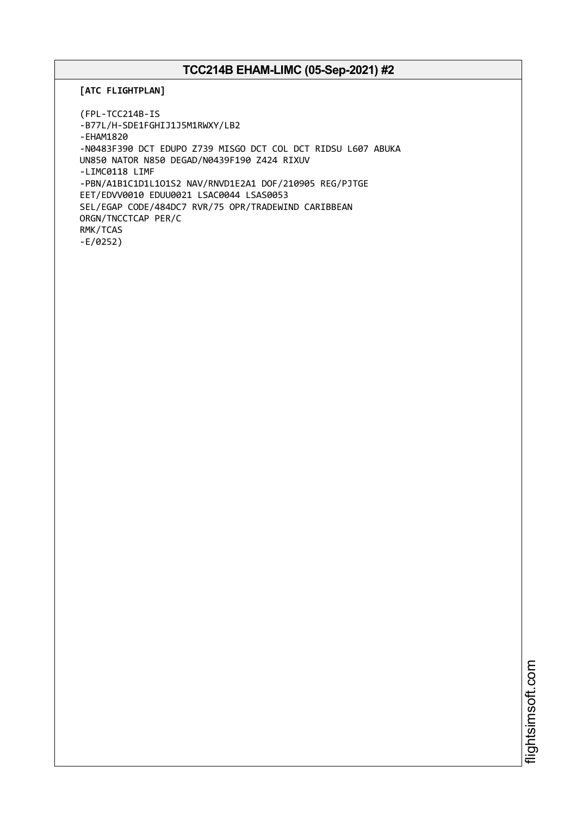**[ATC FLIGHTPLAN]**

(FPL-TCC214B-IS -B77L/H-SDE1FGHIJ1J5M1RWXY/LB2 -EHAM1820 -N0483F390 DCT EDUPO Z739 MISGO DCT COL DCT RIDSU L607 ABUKA UN850 NATOR N850 DEGAD/N0439F190 Z424 RIXUV -LIMC0118 LIMF -PBN/A1B1C1D1L1O1S2 NAV/RNVD1E2A1 DOF/210905 REG/PJTGE EET/EDVV0010 EDUU0021 LSAC0044 LSAS0053 SEL/EGAP CODE/484DC7 RVR/75 OPR/TRADEWIND CARIBBEAN ORGN/TNCCTCAP PER/C RMK/TCAS -E/0252)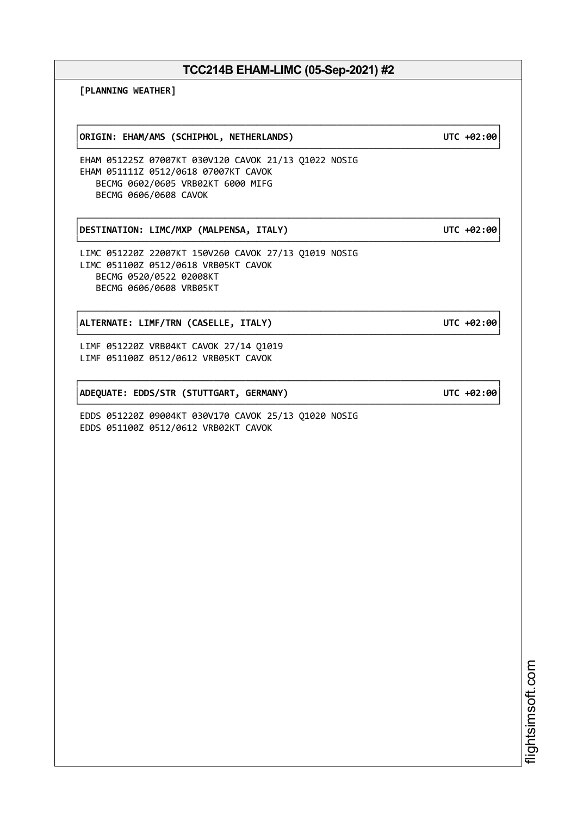└──────────────────────────────────────────────────────────────────────────────┘

**[PLANNING WEATHER]**

┌──────────────────────────────────────────────────────────────────────────────┐ │**ORIGIN: EHAM/AMS (SCHIPHOL, NETHERLANDS) UTC +02:00**│

EHAM 051225Z 07007KT 030V120 CAVOK 21/13 Q1022 NOSIG EHAM 051111Z 0512/0618 07007KT CAVOK BECMG 0602/0605 VRB02KT 6000 MIFG BECMG 0606/0608 CAVOK

┌──────────────────────────────────────────────────────────────────────────────┐ │**DESTINATION: LIMC/MXP (MALPENSA, ITALY) UTC +02:00**│

LIMC 051220Z 22007KT 150V260 CAVOK 27/13 Q1019 NOSIG LIMC 051100Z 0512/0618 VRB05KT CAVOK BECMG 0520/0522 02008KT BECMG 0606/0608 VRB05KT

┌──────────────────────────────────────────────────────────────────────────────┐ │**ALTERNATE: LIMF/TRN (CASELLE, ITALY) UTC +02:00**│

LIMF 051220Z VRB04KT CAVOK 27/14 Q1019 LIMF 051100Z 0512/0612 VRB05KT CAVOK

┌──────────────────────────────────────────────────────────────────────────────┐ │**ADEQUATE: EDDS/STR (STUTTGART, GERMANY) UTC +02:00**│

EDDS 051220Z 09004KT 030V170 CAVOK 25/13 Q1020 NOSIG EDDS 051100Z 0512/0612 VRB02KT CAVOK

> i⊒<br>⊫ htsim soft.c om

## └──────────────────────────────────────────────────────────────────────────────┘

└──────────────────────────────────────────────────────────────────────────────┘

└──────────────────────────────────────────────────────────────────────────────┘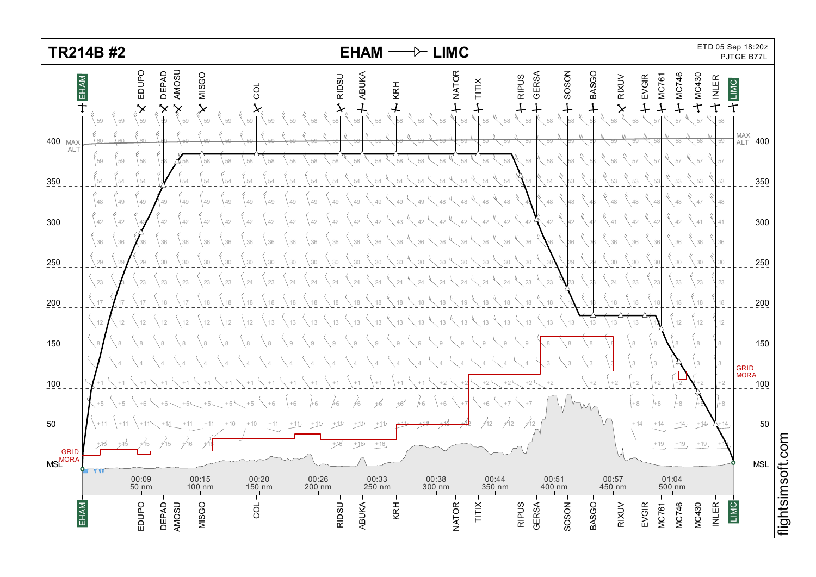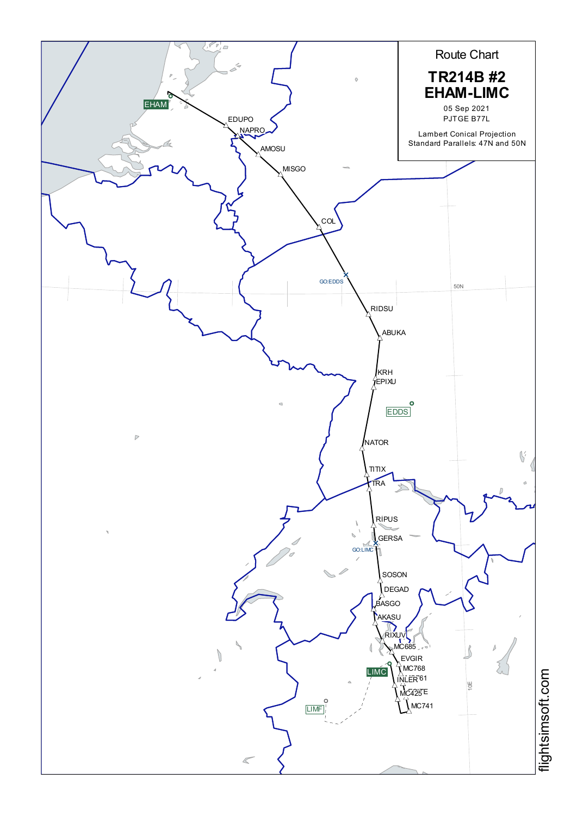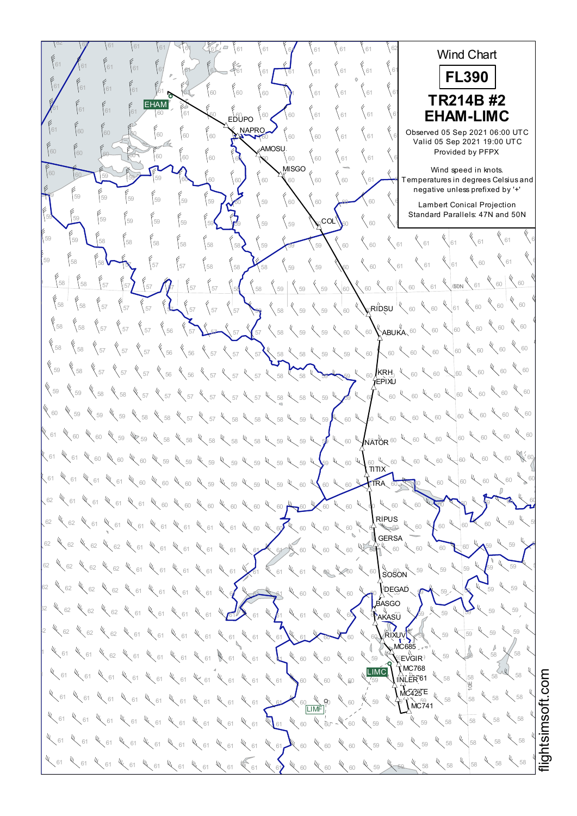$\frac{62}{52}$  61 61 61 61 62 62 62 62 Wind Chart  $^{61}$   $\bigwedge^{61}$   $^{61}$   $^{61}$   $^{60}$   $^{61}$   $^{61}$   $^{62}$   $^{63}$   $^{63}$   $^{61}$   $^{61}$   $^{61}$   $^{61}$   $^{61}$   $^{61}$   $^{61}$   $^{61}$   $^{61}$   $^{61}$ 62 62 62 **FL390** <sup>61</sup> <sup>61</sup> <sup>62</sup> <sup>61</sup> <sup>61</sup> <sup>60</sup> <sup>60</sup> <sup>60</sup> <sup>61</sup> <sup>61</sup> <sup>61</sup> <sup>61</sup> <sup>61</sup> <sup>61</sup> <sup>61</sup> <sup>61</sup> <sup>62</sup> <sup>62</sup> <sup>62</sup> **TR214B #2** EHAM<sup>®</sup>  $^{61}$   $^{61}$   $^{61}$   $^{61}$   $^{60}$   $^{61}$   $^{60}$   $^{60}$   $^{60}$   $^{60}$   $^{60}$   $^{60}$   $^{61}$   $^{61}$   $^{61}$   $^{61}$   $^{61}$   $\blacktriangleright$ <sup>62</sup> <sup>62</sup> <sup>62</sup> **EHAM-LIMC** EDUPO **NAPRO**  $\frac{61}{60}$   $\begin{bmatrix} 60\\ 60 \end{bmatrix}$   $\begin{bmatrix} 60\\ 60 \end{bmatrix}$   $\begin{bmatrix} 60\\ 60 \end{bmatrix}$   $\begin{bmatrix} 60\\ 60 \end{bmatrix}$   $\begin{bmatrix} 60\\ 60 \end{bmatrix}$   $\begin{bmatrix} 60\\ 61 \end{bmatrix}$   $\begin{bmatrix} 61\\ 61 \end{bmatrix}$   $\begin{bmatrix} 61\\ 61 \end{bmatrix}$   $\begin{bmatrix} 60\\ 61 \end{bmatrix}$   $\begin{bmatrix} 105$ Observed 05 Sep 2021 06:00 UTC Valid 05 Sep 2021 19:00 UTC AMOSU 60 60 60 60 60 60 60 60 60 60 60 60 61 61 61 61 **Provi** Provided by PFPX  $\mathbf{M}^{\text{MISGO}}$ Wind speed in knots.  $\frac{60}{10}$   $\frac{60}{10}$   $\frac{60}{100}$   $\frac{60}{100}$   $\frac{60}{100}$   $\frac{60}{100}$   $\frac{60}{100}$   $\frac{60}{100}$   $\frac{60}{100}$   $\frac{60}{100}$   $\frac{60}{100}$   $\frac{60}{100}$   $\frac{60}{100}$   $\frac{60}{100}$   $\frac{60}{100}$   $\frac{60}{100}$   $\frac{60}{100}$   $\$ which speed in Nicia.<br>Temperatures in degrees Celsius and negative unless prefixed by '+'  $\frac{69}{10}$  59  $\frac{59}{59}$   $\frac{69}{59}$   $\frac{69}{59}$   $\frac{60}{59}$   $\frac{60}{59}$   $\frac{60}{59}$   $\frac{60}{59}$   $\frac{60}{59}$   $\frac{60}{59}$ ر<br>Lambert Conical Projection Standard Parallels: 47N and 50N  $\frac{55}{59}$  59 59 59 59 59 59 59 59  $\frac{2}{59}$  59  $\frac{2}{59}$  59  $\frac{2}{59}$   $\frac{2}{59}$   $\frac{2}{59}$   $\frac{2}{59}$   $\frac{2}{59}$   $\frac{2}{59}$   $\frac{2}{59}$   $\frac{2}{59}$   $\frac{2}{59}$   $\frac{2}{59}$   $\frac{2}{59}$   $\frac{2}{59}$   $\frac{2}{59}$   $\frac{2}{59}$   $\frac$  $_{\rm COL}$  $^{\prime}$  $\leftarrow$  61  $\leftarrow$  61 <sup>61</sup> <sup>61</sup> <sup>61</sup> <sup>58</sup> <sup>58</sup> <sup>58</sup> <sup>58</sup> <sup>59</sup> <sup>59</sup> <sup>59</sup> <sup>60</sup> <sup>60</sup> <sup>58</sup> <sup>58</sup> <sup>59</sup> <sup>59</sup>  $4\frac{1}{60}$   $4\frac{1}{61}$ <sup>61</sup> <sup>61</sup> <sup>57</sup> <sup>57</sup> <sup>58</sup> <sup>58</sup> <sup>58</sup> <sup>59</sup> <sup>59</sup> <sup>60</sup> <sup>60</sup> <sup>61</sup> <sup>58</sup> <sup>57</sup> <sup>59</sup> <sup>58</sup>  $60 \times 60$  $\frac{1}{68}$  58 58 57 57 57  $\frac{1}{67}$   $\frac{1}{67}$   $\frac{1}{67}$   $\frac{1}{67}$   $\frac{1}{67}$   $\frac{1}{67}$   $\frac{1}{67}$   $\frac{1}{67}$   $\frac{1}{67}$   $\frac{1}{67}$   $\frac{1}{67}$   $\frac{1}{67}$   $\frac{1}{67}$   $\frac{1}{67}$   $\frac{1}{67}$   $\frac{1}{67}$   $\frac{1}{67}$   $\frac{1}{67$  $80N$ 60  $\frac{1}{60}$  60  $\frac{1}{60}$  58 58 57  $\frac{1}{37}$   $\frac{1}{37}$   $\frac{1}{37}$   $\frac{1}{37}$   $\frac{1}{37}$   $\frac{1}{38}$   $\frac{1}{38}$   $\frac{1}{39}$   $\frac{1}{39}$   $\frac{1}{39}$   $\frac{1}{39}$   $\frac{1}{39}$   $\frac{1}{39}$   $\frac{1}{39}$   $\frac{1}{39}$   $\frac{1}{39}$   $\frac{1}{39}$   $\frac{1}{39}$   $\frac$  $\zeta$ RIDSU  $^{|\psi\rangle}$  $60 \times 60$  $^{58}$   $\{57\}$   $\{57\}$   $\{57\}$   $\{56\}$   $\{57\}$   $\{57\}$   $\{57\}$   $\{58\}$   $\{59\}$   $\{59\}$   $\{60\}$   $\{ABUKA, 60\}$   $\{60\}$  $\sqrt[6]{\frac{60}{100}}$  $^{58}$   $\{58$   $\{57$   $\}$   $57$   $\{57$   $\}$   $56$   $\{56$   $\{57\}$   $\{57\}$   $\{57\}$   $\{58\}$   $\{58\}$   $\{59\}$   $\{59\}$   $\{60\}$   $\{60\}$   $\{60\}$   $\{60\}$  $\chi$  60 59  $\left\{58\right\}$   $\left\{57\right\}$   $\left\{57\right\}$   $\left\{57\right\}$   $\left\{56\right\}$   $\left\{57\right\}$   $\left\{57\right\}$   $\left\{57\right\}$   $\left\{58\right\}$   $\left\{58\right\}$   $\left\{58\right\}$   $\left\{58\right\}$   $\left\{58\right\}$   $\left\{60\right\}$   $\left\{50\right\}$   $\left\{60\right\}$   $\left\{60\right\$  $\,$ krh $,~^{\ell}$ EPIXU 60 4 60 59  $\%$ 59  $\%$ 58  $\%$  57  $\%$  57  $\%$  57  $\%$  57  $\%$  57  $\%$  58  $\%$  58  $\%$  59  $\%$  59  $\%$  60  $\%$  60  $\%$  60  $\%$  60  $\%$  60  $\%$  60  $\%$  60  $\%$  60  $\%$  60  $\%$  60  $\%$  60  $\%$  60  $\%$  60  $\%$  60  $\%$  60  $\%$  60  $\%$  $60 \frac{4}{60}$  60  $\frac{4}{60}$ 60  $\,$  59  $\,$   $\,$  59  $\,$   $\,$  59  $\,$   $\,$   $\,$  58  $\,$   $\,$   $\,$  58  $\,$   $\,$  58  $\,$  58  $\,$   $\,$  59  $\,$  59  $\,$  59  $\,$  50  $\,$  50  $\,$  50  $\,$  50  $\,$  50  $\,$  50  $\,$  50  $\,$  50  $\,$  50  $\,$  50  $\,$  50  $\,$  50  $\$  $60 \frac{1}{60}$  60  $\frac{1}{60}$  60 61  $\chi$  60  $\chi$  60  $\chi$  59  $\chi$  59  $\chi$  58  $\chi$  58  $\chi$  58  $\chi$  58  $\chi$  58  $\chi$  59  $\chi$  59  $\chi$  59  $\chi$  60  $\chi$  60  $\chi$  60  $\chi$  60  $\chi$  60  $\chi$  60  $\chi$  60  $\chi$  60  $\chi$  60  $\chi$  60  $\chi$  60  $\chi$  60  $\chi$  60  $\chi$  60  $\chi$  60  $\$ **NATOR** <sup>60</sup> 60 W 60 61  $\ll$  61  $\ll$  60  $\ll$  60  $\ll$  60  $\ll$  60  $\ll$  69  $\ll$  60  $\ll$  60  $\ll$  60  $\ll$  60  $\ll$  60  $\ll$  60  $\ll$  60  $\ll$  60  $\ll$  60  $\ll$  60  $\ll$  60  $\ll$  60  $\ll$  60  $\ll$  60  $\ll$  60  $\ll$  60  $\ll$  60  $\ll$  60  $\ll$  60  $\ll$  60  $\ll$  60  $\$  $\frac{60}{\pi}$ X 60 61  $\ll$  61  $\ll$  61  $\ll$  61  $\ll$  60  $\ll$  60  $\ll$  60  $\ll$  60  $\ll$  60  $\ll$  60  $\ll$  60  $\ll$  60  $\ll$  60  $\ll$  60  $\ll$  60  $\ll$  60  $\ll$  60  $\ll$  60  $\ll$  60  $\ll$  60  $\ll$  60  $\ll$  60  $\ll$  60  $\ll$  60  $\ll$  60  $\ll$  60  $\ll$  60  $\ll$  60  $\$ TRA 62  $\chi$  61  $\chi$  61  $\chi$  61  $\chi$  61  $\chi$  60  $\chi$  60  $\chi$  60  $\chi$  60  $\chi$  60  $\chi$  60  $\chi$  60  $\chi$  60  $\chi$  60  $\chi$  60  $\chi$  60  $\chi$  60  $\chi$  60  $\chi$  60  $\chi$  60  $\chi$  60  $\chi$  60  $\chi$  60  $\chi$  60  $\chi$  60  $\chi$  60  $\chi$  60  $\chi$  60  $\$  $60 - 60$ RIPUS<br>} 60 62  $\ll$  62  $\ll$  61  $\ll$  61  $\ll$  61  $\ll$  61  $\ll$  61  $\ll$  61  $\ll$  61  $\ll$  61  $\ll$  60  $\ll$  60  $\ll$  60  $\ll$  60  $\ll$  60  $\ll$  60  $\ll$  60  $\ll$  60  $\ll$  60  $\ll$  60 **GERSA** 62  $\ll$  62  $\ll$  62  $\ll$  62  $\ll$  61  $\ll$  61  $\ll$  61  $\ll$  61  $\ll$  61  $\ll$  61  $\ll$  61  $\ll$  60  $\ll$  60  $\ll$  60  $\ll$  60  $\ll$  60  $\ll$  60  $\ll$  60  $\ll$  60  $\ll$  60  $\ll$  60  $\ll$  60  $\ll$  60  $\ll$  60  $\ll$  60  $\ll$  60  $\ll$  60  $\ll$  60  $\$  $59 \times 59 \times$ tı. **IL**<br>SOSON  $52$   $\%$   $52$   $\%$   $52$   $\%$   $53$   $\%$   $51$   $\%$   $51$   $\%$   $51$   $\%$   $51$   $\%$   $51$   $\%$   $51$   $\%$   $51$   $\%$   $52$   $\%$   $53$   $\%$   $55$   $\%$   $55$   $\%$   $52$   $\%$   $53$   $\%$   $55$  $59 - 59$ 62  $\sqrt{62}$   $\sqrt{62}$   $\sqrt{62}$   $\sqrt{61}$   $\sqrt{61}$   $\sqrt{61}$   $\sqrt{61}$   $\sqrt{61}$   $\sqrt{61}$   $\sqrt{61}$   $\sqrt{61}$   $\sqrt{61}$   $\sqrt{61}$   $\sqrt{61}$   $\sqrt{61}$   $\sqrt{61}$   $\sqrt{61}$   $\sqrt{61}$   $\sqrt{61}$   $\sqrt{61}$   $\sqrt{61}$   $\sqrt{61}$   $\sqrt{61}$   $\sqrt{61}$   $\$ DEGAD  $59 \times 59$ BASGO ric∼<br>AKASÛ  $52$   $\%$  62  $\%$  62  $\%$  62  $\%$  61  $\%$  61  $\%$  61  $\%$  61  $\%$  61  $\%$  61  $\%$  61  $\%$  61  $\%$  60  $\%$  60  $\%$  60  $\%$  60  $\%$  60  $\%$  60  $\%$  60  $\%$  60  $\%$  60  $\%$  60  $\%$  60  $\%$  60  $\%$  60  $\%$  60  $\%$  60  $\%$  60 59 59  $^{12}$   $^{13}$  62  $^{14}$  62  $^{14}$  62  $^{14}$  61  $^{14}$  61  $^{14}$  61  $^{14}$  61  $^{14}$  61  $^{14}$  61  $^{14}$  61  $^{14}$  61  $^{14}$  61  $^{14}$  61  $^{14}$  61  $^{14}$  61  $^{14}$  61  $^{14}$  61  $^{14}$  61  $^{14}$  61  $^{14}$  61  $^{14}$  62  $^{14$ **RIXUVV**  $59$  $MC685$ 58 58  $\frac{1}{2}$   $\frac{1}{2}$   $\frac{1}{2}$   $\frac{1}{2}$   $\frac{1}{2}$   $\frac{1}{2}$   $\frac{1}{2}$   $\frac{1}{2}$   $\frac{1}{2}$   $\frac{1}{2}$   $\frac{1}{2}$   $\frac{1}{2}$   $\frac{1}{2}$   $\frac{1}{2}$   $\frac{1}{2}$   $\frac{1}{2}$   $\frac{1}{2}$   $\frac{1}{2}$   $\frac{1}{2}$   $\frac{1}{2}$   $\frac{1}{2}$   $\frac{1}{2}$   $\stackrel{U}{\mathbb{E}}$ VGIR $\stackrel{U}{\rightarrow}$  $X$ MC768 LIMC  $\frac{1}{2}$  59  $\frac{1}{2}$  61  $\frac{1}{2}$  61  $\frac{1}{2}$  61  $\frac{1}{2}$  61  $\frac{1}{2}$  61  $\frac{1}{2}$  61  $\frac{1}{2}$  61  $\frac{1}{2}$  61  $\frac{1}{2}$  61  $\frac{1}{2}$  61  $\frac{1}{2}$  61  $\frac{1}{2}$  68  $\frac{1}{2}$  61  $\frac{1}{2}$  62  $\frac{1}{2}$  62  $\frac{1}{2}$  62 58 58 INLER<sup>61</sup> 10E  $MC425E$ 58 K 58  $\frac{1}{58}$  61  $\frac{1}{58}$  61  $\frac{1}{58}$  61  $\frac{1}{58}$   $\frac{1}{58}$   $\frac{1}{58}$   $\frac{1}{58}$   $\frac{1}{58}$   $\frac{1}{58}$   $\frac{1}{58}$   $\frac{1}{58}$   $\frac{1}{58}$   $\frac{1}{58}$   $\frac{1}{58}$   $\frac{1}{58}$   $\frac{1}{58}$   $\frac{1}{58}$   $\frac{1}{58}$   $\frac{1}{58}$   $\frac$  $\sqrt{\text{MC}}$ 741 W<sub>60</sub> W 58 4 58  $^{61}$   $^{61}$   $^{61}$   $^{61}$   $^{61}$   $^{61}$   $^{61}$   $^{61}$   $^{61}$   $^{61}$   $^{61}$   $^{61}$   $^{61}$   $^{61}$   $^{61}$   $^{61}$   $^{61}$   $^{61}$   $^{61}$   $^{61}$   $^{61}$   $^{61}$   $^{61}$   $^{61}$   $^{61}$   $^{61}$   $^{61}$   $^{61}$   $^{61}$   $^{61}$   $^{61}$   $^{61$ 58 4 58  $^{61}$   $^{61}$   $^{61}$   $^{61}$   $^{61}$   $^{61}$   $^{61}$   $^{61}$   $^{61}$   $^{61}$   $^{61}$   $^{61}$   $^{61}$   $^{61}$   $^{61}$   $^{61}$   $^{61}$   $^{61}$   $^{61}$   $^{61}$   $^{61}$   $^{61}$   $^{61}$   $^{61}$   $^{61}$   $^{61}$   $^{61}$   $^{61}$   $^{61}$   $^{61}$   $^{61}$   $^{61$ <sup>58</sup> <sup>58</sup> <sup>58</sup> <sup>61</sup> <sup>61</sup> <sup>61</sup> <sup>61</sup> <sup>61</sup> <sup>61</sup> <sup>61</sup> <sup>60</sup> <sup>60</sup> <sup>60</sup> <sup>59</sup> <sup>59</sup> <sup>61</sup> <sup>61</sup> <sup>61</sup>  $44.58$   $4.58$   $4.58$ 处

i≣ htsim soft.c o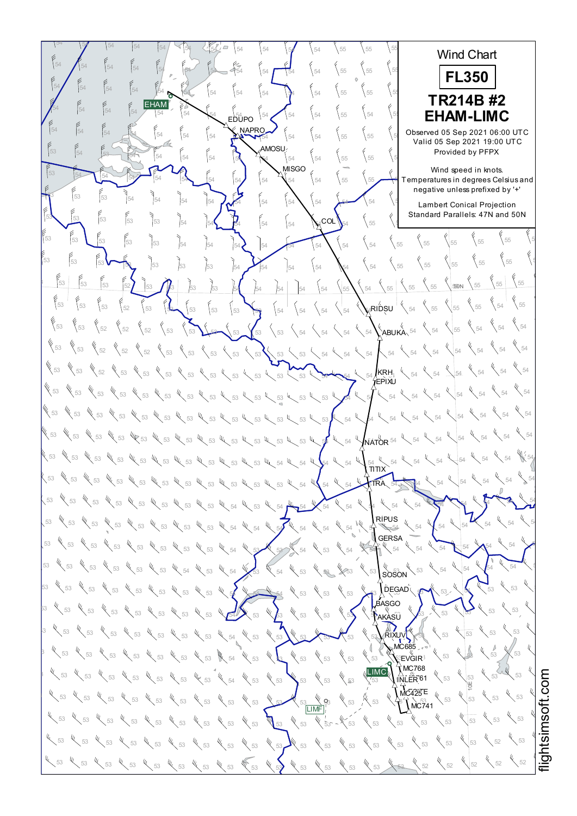$54$   $\begin{bmatrix} 54 & 54 & 54 \end{bmatrix}$   $\begin{bmatrix} 54 & 54 \end{bmatrix}$   $\begin{bmatrix} 54 & 54 \end{bmatrix}$   $\begin{bmatrix} 54 & 54 \end{bmatrix}$   $\begin{bmatrix} 54 & 5 \end{bmatrix}$   $\begin{bmatrix} 55 & 55 \end{bmatrix}$   $\begin{bmatrix} 55 & 5 \end{bmatrix}$ 55 56 55 Wind Chart 54  $\bigwedge$  54  $\bigcup$  54  $\bigcup$  54  $\bigcup$  54  $\bigcup$  54  $\bigcup$  54  $\bigcup$  55  $\bigcup$  55  $\bigcup$  55 55 55 55 **FL350** <sup>55</sup> <sup>55</sup> <sup>55</sup> <sup>54</sup> <sup>54</sup> <sup>54</sup> <sup>54</sup> <sup>54</sup> <sup>54</sup> <sup>54</sup> <sup>55</sup> <sup>55</sup> <sup>54</sup> <sup>54</sup> <sup>54</sup> <sup>54</sup> <sup>55</sup> <sup>55</sup> <sup>55</sup> **TR214B #2** EHAM  $54$  54  $\begin{bmatrix} 54 \end{bmatrix}$   $54$   $\begin{bmatrix} 54 \end{bmatrix}$   $54$   $\begin{bmatrix} 54 \end{bmatrix}$   $54$   $\begin{bmatrix} 54 \end{bmatrix}$   $54$   $\begin{bmatrix} 54 \end{bmatrix}$   $55$   $\begin{bmatrix} 54 \end{bmatrix}$   $56$   $\begin{bmatrix} 54 \end{bmatrix}$   $56$   $\begin{bmatrix} 54 \end{bmatrix}$   $56$ <sup>55</sup> <sup>55</sup> <sup>55</sup> **EHAM-LIMC** EDUPO NAPRO  $54$   $\begin{bmatrix} 54 \end{bmatrix}$   $\begin{bmatrix} 54 \end{bmatrix}$   $\begin{bmatrix} 54 \end{bmatrix}$   $\begin{bmatrix} 54 \end{bmatrix}$   $\begin{bmatrix} 54 \end{bmatrix}$   $\begin{bmatrix} 54 \end{bmatrix}$   $\begin{bmatrix} 54 \end{bmatrix}$   $\begin{bmatrix} 54 \end{bmatrix}$   $\begin{bmatrix} 54 \end{bmatrix}$   $\begin{bmatrix} 55 \end{bmatrix}$   $\begin{bmatrix} 55 \end{bmatrix}$   $\begin{bmatrix} 55 \end{bmatrix}$  Observed 05 Sep 2021 06:00 UTC Valid 05 Sep 2021 19:00 UTC AMOSU <sup>55</sup> <sup>55</sup> <sup>55</sup> <sup>54</sup> <sup>54</sup> <sup>54</sup> <sup>54</sup> <sup>54</sup> <sup>54</sup> <sup>54</sup> <sup>55</sup> <sup>55</sup> <sup>53</sup> <sup>54</sup> <sup>53</sup> <sup>54</sup> Provided by PFPX **MISGO** Wind speed in knots.  $\frac{53}{54}$   $\frac{54}{54}$   $\frac{54}{54}$   $\frac{54}{54}$   $\frac{54}{54}$   $\frac{54}{54}$   $\frac{12}{54}$   $\frac{12}{54}$   $\frac{12}{54}$   $\frac{12}{54}$   $\frac{12}{54}$  Temperatures which speed in Nicks.<br>Temperatures in degrees Celsius and negative unless prefixed by '+' <sup>55</sup> <sup>55</sup> <sup>55</sup> <sup>54</sup> <sup>54</sup> <sup>54</sup> <sup>54</sup> <sup>54</sup> <sup>54</sup> <sup>54</sup> <sup>54</sup> <sup>54</sup> <sup>53</sup> <sup>54</sup> <sup>53</sup> <sup>53</sup> ر<br>Lambert Conical Projection Standard Parallels: 47N and 50N <sup>55</sup> <sup>55</sup> <sup>53</sup> <sup>54</sup> <sup>54</sup> <sup>54</sup> <sup>54</sup> <sup>54</sup> <sup>54</sup> <sup>54</sup> <sup>55</sup> <sup>55</sup> <sup>53</sup> <sup>53</sup> <sup>53</sup> <sup>53</sup>  $_{\mathsf{COL}}$  $\left\{ \right._{55} \quad \left\{ \right._{55}$ <sup>55</sup> <sup>55</sup> <sup>55</sup> <sup>53</sup> <sup>54</sup> <sup>54</sup> <sup>54</sup> <sup>54</sup> <sup>54</sup> <sup>54</sup> <sup>54</sup> <sup>54</sup> <sup>53</sup> <sup>53</sup> <sup>53</sup> <sup>53</sup>  $rac{6}{55}$  55 <sup>55</sup> <sup>55</sup> <sup>53</sup> <sup>53</sup> <sup>53</sup> <sup>54</sup> <sup>54</sup> <sup>54</sup> <sup>54</sup> <sup>54</sup> <sup>54</sup> <sup>55</sup> <sup>53</sup> <sup>53</sup> <sup>53</sup> <sup>53</sup>  $55 \Big| \begin{array}{c} 6 \\ 55 \end{array}$ 53 53 53 52 53 53 53 53 54 54 54 54 54 54 55 54 55 55 53 50N  $54 \times 55$  $\frac{1}{53}$  53  $\frac{5}{52}$  53  $\frac{6}{53}$  53  $\frac{5}{53}$  53  $\frac{5}{53}$  54  $\frac{1}{54}$   $\frac{1}{54}$   $\frac{1}{54}$   $\frac{1}{54}$   $\frac{1}{54}$   $\frac{1}{54}$   $\frac{1}{54}$   $\frac{1}{55}$   $\frac{1}{55}$  $_4$ RIDSU $^+$  $\chi$  54 53  $\{53 \}$   $\{52 \}$   $\{52 \}$   $\{53 \}$   $\{53 \}$   $\{53 \}$   $\{53 \}$   $\{53 \}$   $\{54 \}$   $\{54 \}$   $\{54 \}$   $\{54 \}$   $\{54 \}$   $\{54 \}$   $\{55 \}$  $\left\langle \right\rangle$  54 53  $\begin{bmatrix} 53 & \times 52 \end{bmatrix}$  52  $\begin{bmatrix} 52 & \times 52 \end{bmatrix}$  53  $\begin{bmatrix} 53 & \times 53 \end{bmatrix}$  53  $\begin{bmatrix} 53 & \times 53 \end{bmatrix}$  54  $\begin{bmatrix} 54 & \times 54 \end{bmatrix}$  54  $\begin{bmatrix} 54 & \times 54 \end{bmatrix}$  54  $\begin{bmatrix} 54 & \times 54 \end{bmatrix}$  $\chi$ <sub>54</sub> 53  $\frac{1}{53}$   $\frac{1}{53}$   $\frac{1}{53}$   $\frac{1}{53}$   $\frac{1}{53}$   $\frac{1}{53}$   $\frac{1}{53}$   $\frac{1}{53}$ KRH EPIXU <sup>54</sup> <sup>54</sup> <sup>54</sup> <sup>53</sup> <sup>53</sup> <sup>53</sup> <sup>53</sup> <sup>53</sup> <sup>53</sup> <sup>53</sup> <sup>53</sup> <sup>53</sup> <sup>54</sup> <sup>54</sup> <sup>54</sup> <sup>53</sup> <sup>53</sup> <sup>53</sup> <sup>53</sup>  $\chi$  54 WE 53 WE 53 WE 53 WE 53 WE 53 WE 53 WE 53 WE 53 WE 53 WE 53 WE 54 YEAR 54 WE 54 WE 54  $\sqrt{54}$ <sup>54</sup> <sup>54</sup> <sup>54</sup> <sup>53</sup> <sup>53</sup> <sup>53</sup> <sup>53</sup> <sup>53</sup> <sup>53</sup> <sup>53</sup> <sup>53</sup> <sup>54</sup> <sup>54</sup> <sup>54</sup> <sup>54</sup> <sup>53</sup> <sup>53</sup> <sup>53</sup> <sup>53</sup>  $54$ **NATOR** 54 53  $w_{\zeta}$  53  $w_{\zeta}$  53  $w_{\zeta}$  53  $w_{\zeta}$  53  $w_{\zeta}$  53  $w_{\zeta}$  53  $w_{\zeta}$  53  $w_{\zeta}$  54  $w_{\zeta}$  54  $w_{\zeta}$  54  $w_{\zeta}$  54  $w_{\zeta}$  54  $w_{\zeta}$  54  $w_{\zeta}$  54  $w_{\zeta}$  54  $w_{\zeta}$  54  $w_{\zeta}$  54  $w_{\zeta}$  54  $w$  $\mathbb{V}$  5 54<br>**ΤΙ ΤΙ Χ**  $53$   $\frac{u}{\sqrt{53}}$   $\frac{u}{\sqrt{53}}$   $\frac{u}{\sqrt{53}}$   $\frac{u}{\sqrt{53}}$   $\frac{u}{\sqrt{53}}$   $\frac{u}{\sqrt{53}}$   $\frac{u}{\sqrt{53}}$   $\frac{u}{\sqrt{53}}$   $\frac{u}{\sqrt{53}}$   $\frac{u}{\sqrt{53}}$   $\frac{u}{\sqrt{53}}$   $\frac{u}{\sqrt{53}}$   $\frac{u}{\sqrt{53}}$   $\frac{u}{\sqrt{53}}$   $\frac{u}{\sqrt{53}}$   $\frac{u}{$ 54 54 54 TRA 53  $\%$  53  $\%$  53  $\%$  53  $\%$  53  $\%$  53  $\%$  53  $\%$  53  $\%$  54  $\%$  54  $\%$  54  $\%$  54  $\%$  54  $\%$  54  $\%$  54  $\%$  54  $\%$  54  $\%$  54  $\%$  54  $\%$  54  $\%$  54  $\%$  54  $\%$  54  $\%$  54  $\%$  54  $\%$  54  $\%$  54  $\%$  54  $\$ 54 54 RIPUS 53  $\%$  53  $\%$  53  $\%$  53  $\%$  53  $\%$  53  $\%$  53  $\%$  53  $\%$  54  $\%$  54  $\%$  54  $\%$  54  $\%$  54  $\%$  54  $\%$  54  $\%$  54  $\%$  54  $\%$  54  $\%$  54  $\%$  54  $\%$  54  $\%$  54  $\%$  54  $\%$  54  $\%$  54  $\%$  54  $\%$  54  $\%$  54  $\$ 54 54 54 **GERSA** 53  $\frac{1}{3}$  53  $\frac{1}{3}$  53  $\frac{1}{3}$   $\frac{1}{3}$   $\frac{1}{3}$   $\frac{1}{3}$   $\frac{1}{3}$   $\frac{1}{3}$   $\frac{1}{3}$   $\frac{1}{3}$   $\frac{1}{3}$   $\frac{1}{3}$   $\frac{1}{3}$   $\frac{1}{3}$   $\frac{1}{3}$   $\frac{1}{3}$   $\frac{1}{3}$   $\frac{1}{3}$   $\frac{1}{3}$   $\frac{1}{3}$   $\frac{1}{3}$   $\$  $54 \times 54 \times$  $\bar{u}$  $53$   $\frac{8}{3}$   $\frac{53}{3}$   $\frac{6}{3}$   $\frac{53}{3}$   $\frac{6}{3}$   $\frac{54}{3}$   $\frac{6}{3}$   $\frac{54}{3}$   $\frac{6}{3}$   $\frac{53}{3}$   $\frac{6}{3}$   $\frac{6}{3}$   $\frac{6}{3}$   $\frac{6}{3}$   $\frac{6}{3}$   $\frac{6}{3}$   $\frac{6}{3}$   $\frac{6}{3}$   $\frac{6}{3}$   $\frac{6}{3}$   $\frac{6}{3}$   $54 \times 54 \times 54$ **SOSON** 53  $\%$  53  $\%$  53  $\%$  53  $\%$  53  $\%$  53  $\%$  53  $\%$  53  $\%$  53  $\%$  53  $\%$  53  $\%$  53  $\%$  53  $\%$  53  $\%$  53  $\%$  53  $\%$ DEGAD 53 53 53 **ASGO**  $53$   $\frac{8}{3}$   $\frac{8}{3}$   $\frac{8}{3}$   $\frac{1}{3}$   $\frac{1}{3}$   $\frac{1}{3}$   $\frac{1}{3}$   $\frac{1}{3}$   $\frac{1}{3}$   $\frac{1}{3}$   $\frac{1}{3}$   $\frac{1}{3}$   $\frac{1}{3}$   $\frac{1}{3}$   $\frac{1}{3}$   $\frac{1}{3}$   $\frac{1}{3}$   $\frac{1}{3}$   $\frac{1}{3}$   $\frac{1}{3}$   $\frac{1}{3}$   $\frac{1}{$ 53 53 **AKASU**  $3$  53  $\sqrt{53}$   $\sqrt{53}$   $\sqrt{53}$   $\sqrt{53}$   $\sqrt{53}$   $\sqrt{53}$   $\sqrt{53}$   $\sqrt{53}$   $\sqrt{53}$   $\sqrt{53}$   $\sqrt{53}$   $\sqrt{53}$   $\sqrt{53}$   $\sqrt{53}$   $\sqrt{53}$   $\sqrt{53}$   $\sqrt{53}$   $\sqrt{53}$   $\sqrt{53}$   $\sqrt{53}$   $\sqrt{53}$   $\sqrt{53}$   $\sqrt{53}$   $\sqrt{53}$ 53 53 RIXUV  $MCRB5$ 53 53 <sup>53</sup> <sup>53</sup> <sup>53</sup> <sup>53</sup> <sup>53</sup> <sup>53</sup> <sup>53</sup> <sup>54</sup> <sup>53</sup> <sup>53</sup> <sup>53</sup> <sup>53</sup> <sup>53</sup> <sup>53</sup> <sup>53</sup> <sup>53</sup> <sup>53</sup> <sup>53</sup> <sup>53</sup> <sup>⊛</sup>EVGIR  $MO768$ LIMC  $\frac{1}{3}$  53  $\frac{1}{3}$  53  $\frac{1}{3}$   $\frac{1}{3}$   $\frac{1}{3}$   $\frac{1}{3}$   $\frac{1}{3}$   $\frac{1}{3}$   $\frac{1}{3}$   $\frac{1}{3}$   $\frac{1}{3}$   $\frac{1}{3}$   $\frac{1}{3}$   $\frac{1}{3}$   $\frac{1}{3}$   $\frac{1}{3}$   $\frac{1}{3}$   $\frac{1}{3}$   $\frac{1}{3}$   $\frac{1}{3}$   $\frac{1}{3}$   $\frac{1$ 53 53 INLER<sup>61</sup> 10E  $MC425E$  $53 \times 53$  $\frac{1}{5}$  53  $\frac{1}{5}$  53  $\frac{1}{5}$  53  $\frac{1}{5}$  53  $\frac{1}{5}$  53  $\frac{1}{5}$  53  $\frac{1}{5}$  53  $\frac{1}{5}$  53  $\frac{1}{5}$  53  $\frac{1}{5}$  53  $\frac{1}{5}$  53  $\frac{1}{5}$  53  $\frac{1}{5}$  53  $N$ C741  $\sqrt{\frac{LIMF}{53}}$  $53 \times 53$  $53$   $\ll$   $53$   $\ll$   $53$   $\ll$   $53$   $\ll$   $53$   $\ll$   $53$   $\ll$   $53$   $\ll$   $53$   $\ll$   $53$   $\ll$   $53$   $\ll$   $53$   $\ll$   $53$   $\ll$   $53$   $\ll$   $53$   $\ll$   $53$  $52 \times 53$  $53$   $\ll$   $53$   $\ll$   $53$   $\ll$   $53$   $\ll$   $53$   $\ll$   $53$   $\ll$   $53$   $\ll$   $53$   $\ll$   $53$   $\ll$   $53$   $\ll$   $53$   $\ll$   $53$   $\ll$   $53$   $\ll$   $53$   $\ll$   $53$   $\ll$   $53$ <sup>52</sup> <sup>52</sup> <sup>52</sup> <sup>53</sup> <sup>53</sup> <sup>53</sup> <sup>53</sup> <sup>53</sup> <sup>53</sup> <sup>53</sup> <sup>53</sup> <sup>53</sup> <sup>53</sup> <sup>53</sup> <sup>53</sup> <sup>53</sup> <sup>53</sup> <sup>53</sup>  $452$   $452$ 

i≣ htsim s oft.c o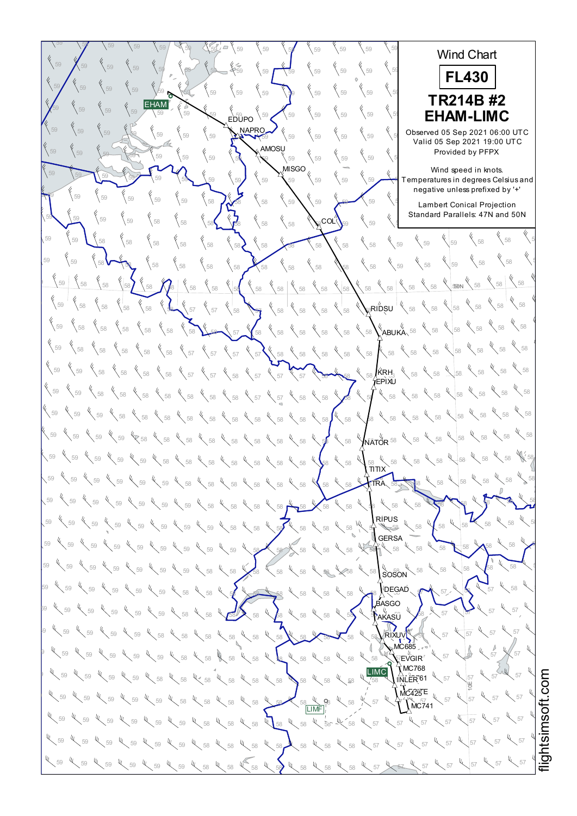$59$   $\sqrt{59}$   $\sqrt{59}$   $\sqrt{59}$   $\sqrt{59}$   $\sqrt{59}$   $\sqrt{59}$   $\sqrt{59}$   $\sqrt{59}$   $\sqrt{59}$   $\sqrt{59}$   $\sqrt{59}$   $\sqrt{59}$ 58 58 58 Wind Chart  $59$   $\bigwedge$   $59$   $\bigvee$   $59$   $\bigvee$   $59$   $\bigvee$   $59$   $\bigvee$   $59$   $\bigvee$   $59$   $\bigvee$   $59$   $\bigvee$   $59$   $\bigvee$   $59$   $\bigvee$   $59$   $\bigvee$   $59$   $\bigvee$   $59$   $\bigvee$   $59$   $\bigvee$   $59$   $\bigvee$   $59$   $\bigvee$   $59$   $\bigvee$   $59$   $\bigvee$   $59$  58 58 58 **FL430**  $59$   $\sqrt{59}$   $\sqrt{59}$   $\sqrt{59}$   $\sqrt{59}$   $\sqrt{59}$   $\sqrt{59}$   $\sqrt{59}$   $\sqrt{59}$   $\sqrt{59}$   $\sqrt{59}$   $\sqrt{59}$   $\sqrt{59}$   $\sqrt{59}$   $\sqrt{59}$   $\sqrt{59}$   $\sqrt{59}$   $\sqrt{59}$   $\sqrt{59}$   $\sqrt{59}$   $\sqrt{59}$   $\sqrt{59}$   $\sqrt{59}$   $\sqrt{59}$   $\sqrt{59}$  58 58 58 58 58 58 **TR214B #2** EHAM <sup>58</sup> <sup>58</sup> <sup>59</sup> <sup>59</sup> <sup>59</sup> <sup>59</sup> <sup>59</sup> <sup>59</sup> <sup>59</sup> <sup>59</sup> <sup>59</sup> <sup>59</sup> <sup>59</sup> <sup>59</sup> <sup>59</sup> <sup>59</sup> <sup>58</sup> <sup>58</sup> <sup>58</sup> **EHAM-LIMC** EDUPO NAPRO <sup>59</sup> <sup>59</sup> <sup>58</sup> <sup>59</sup> <sup>59</sup> <sup>59</sup> <sup>59</sup> <sup>59</sup> <sup>59</sup> <sup>59</sup> <sup>59</sup> <sup>59</sup> <sup>59</sup> <sup>59</sup> <sup>59</sup> <sup>59</sup> Observed 05 Sep 2021 06:00 UTC Valid 05 Sep 2021 19:00 UTC **AMOSU** 59  $\begin{bmatrix} 59 \\ 59 \end{bmatrix}$   $\begin{bmatrix} 59 \\ 59 \end{bmatrix}$   $\begin{bmatrix} 59 \\ 59 \end{bmatrix}$   $\begin{bmatrix} 59 \\ 58 \end{bmatrix}$   $\begin{bmatrix} 59 \\ 59 \end{bmatrix}$   $\begin{bmatrix} 59 \\ 59 \end{bmatrix}$   $\begin{bmatrix} 59 \\ 59 \end{bmatrix}$   $\begin{bmatrix} 59 \\ 59 \end{bmatrix}$   $\begin{bmatrix} 59 \\ 59 \end{bmatrix}$ Provided by PFPX Wind speed in knots.  $59$   $\frac{1}{59}$   $\frac{1}{59}$   $\frac{1}{59}$   $\frac{1}{59}$   $\frac{1}{59}$   $\frac{1}{59}$   $\frac{1}{59}$   $\frac{1}{59}$   $\frac{1}{59}$   $\frac{1}{59}$   $\frac{1}{59}$   $\frac{1}{59}$   $\frac{1}{59}$   $\frac{1}{59}$   $\frac{1}{59}$   $\frac{1}{59}$   $\frac{1}{59}$   $\frac{1}{59}$   $\frac{1}{59}$   $\frac{1}{5$ which speed in Nicks.<br>Temperatures in degrees Celsius and negative unless prefixed by '+'  $59$   $\frac{1}{59}$   $\frac{1}{59}$   $\frac{1}{59}$   $\frac{1}{59}$   $\frac{1}{59}$   $\frac{1}{59}$   $\frac{1}{59}$   $\frac{1}{59}$   $\frac{1}{59}$   $\frac{1}{59}$   $\frac{1}{59}$   $\frac{1}{59}$   $\frac{1}{59}$   $\frac{1}{59}$   $\frac{1}{59}$   $\frac{1}{59}$   $\frac{1}{59}$   $\frac{1}{59}$   $\frac{1}{59}$   $\frac{1}{5$ ر<br>Lambert Conical Projection Standard Parallels: 47N and 50N  $59$  59  $\begin{pmatrix} 59 \\ 59 \end{pmatrix}$  59  $\begin{pmatrix} 58 \\ 58 \end{pmatrix}$  58  $\begin{pmatrix} 58 \\ 58 \end{pmatrix}$   $\begin{pmatrix} 58 \\ 58 \end{pmatrix}$   $\begin{pmatrix} 58 \\ 58 \end{pmatrix}$   $\begin{pmatrix} 58 \\ 58 \end{pmatrix}$   $\begin{pmatrix} 59 \\ 59 \end{pmatrix}$   $\begin{pmatrix} 59 \\ 59 \end{pmatrix}$   $\begin{pmatrix} 59 \\ 59 \end{pmatrix}$ ∘co∟″  $\bigvee_{58}$   $\bigvee_{58}$ 59  $\sqrt{58}$   $\sqrt{58}$   $\sqrt{58}$   $\sqrt{58}$   $\sqrt{58}$   $\sqrt{58}$   $\sqrt{58}$   $\sqrt{58}$   $\sqrt{58}$   $\sqrt{58}$   $\sqrt{58}$   $\sqrt{59}$   $\sqrt{59}$   $\sqrt{59}$ <sup>58</sup> <sup>59</sup> <sup>58</sup> <sup>58</sup> <sup>58</sup> <sup>58</sup> <sup>58</sup> <sup>58</sup> <sup>58</sup> <sup>58</sup> <sup>58</sup> <sup>59</sup> <sup>58</sup> <sup>58</sup> <sup>59</sup> <sup>59</sup> <sup>58</sup> <sup>58</sup> <sup>58</sup> 58 58 58  $\frac{1}{58}$  58  $\frac{1}{58}$   $\frac{1}{58}$   $\frac{1}{58}$   $\frac{1}{58}$   $\frac{1}{58}$   $\frac{1}{58}$   $\frac{1}{58}$   $\frac{1}{58}$   $\frac{1}{58}$   $\frac{1}{58}$   $\frac{1}{58}$   $\frac{1}{58}$   $\frac{1}{58}$   $\frac{1}{58}$   $\frac{1}{58}$   $\frac{1}{58}$   $\frac{1}{58}$   $\frac{1}{58}$   $\frac{1}{58}$  $-40N$  $\mathbb{R}^{\mathsf{R}}$ RIDSU  $^{\mathsf{T}}$  $58 \times 58$ <sup>58</sup> <sup>58</sup> <sup>58</sup> <sup>58</sup> <sup>58</sup> <sup>57</sup> <sup>57</sup> <sup>58</sup> <sup>57</sup> <sup>58</sup> <sup>58</sup> <sup>58</sup> <sup>58</sup> <sup>58</sup> <sup>58</sup> <sup>58</sup> <sup>58</sup> <sup>59</sup> <sup>58</sup> <sup>59</sup> 58 58 58 <sup>58</sup> <sup>58</sup> <sup>58</sup> <sup>58</sup> <sup>58</sup> <sup>58</sup> <sup>58</sup> <sup>57</sup> <sup>58</sup> <sup>58</sup> <sup>58</sup> <sup>58</sup> <sup>58</sup> <sup>58</sup> <sup>58</sup> <sup>58</sup> <sup>58</sup> <sup>59</sup> <sup>58</sup> ABUKA 58 58 58 59  $\begin{array}{c}$  58  $\begin{array}{c}$  58  $\end{array}$  58  $\begin{array}{c}$  58  $\end{array}$  58  $\begin{array}{c}$  58  $\end{array}$  58  $\begin{array}{c}$  58  $\end{array}$  58  $\begin{array}{c}$  58  $\end{array}$  58  $\begin{array}{c}$  58  $\end{array}$  58  $\begin{array}{c}$  58  $\end{array}$  58  $\begin{array}{c}$  58  $\end{array}$  58  $\begin{array}{c}$  58  $\sqrt[4]{\phantom{0}}$  58 KRH 59  $\sqrt{58}$   $\sqrt{58}$   $\sqrt{58}$   $\sqrt{58}$   $\sqrt{58}$   $\sqrt{57}$   $\sqrt{58}$   $\sqrt{58}$   $\sqrt{58}$   $\sqrt{58}$   $\sqrt{58}$   $\sqrt{58}$   $\sqrt{58}$   $\sqrt{58}$   $\sqrt{58}$   $\sqrt{58}$   $\sqrt{58}$   $\sqrt{58}$   $\sqrt{58}$   $\sqrt{58}$   $\sqrt{58}$   $\sqrt{58}$   $\sqrt{58}$   $\sqrt{58}$   $\$ EPIXU  $\sqrt{58}$ 59  $\bigg\{58\bigg\}$  58  $\bigg\{58\bigg\}$  58  $\bigg\{58\bigg\}$  58  $\bigg\{58\bigg\}$  58  $\bigg\{58\bigg\}$  57  $\bigg\{58\bigg\}$  58  $\bigg\{58\bigg\}$  58  $\bigg\{58\bigg\}$  58  $\bigg\{58\bigg\}$  58  $\bigg\}$  58  $\bigg\{58\bigg\}$  $58 \frac{4}{58}$  58 59  $\,$  59  $\,$  59  $\,$  58  $\,$  58  $\,$  58  $\,$  58  $\,$  58  $\,$  58  $\,$  58  $\,$  58  $\,$  58  $\,$  58  $\,$  58  $\,$  58  $\,$  58  $\,$  58  $\,$  58  $\,$  58  $\,$  58  $\,$  58  $\,$  58  $\,$  58  $\,$  58  $\,$  58  $\,$  58  $\,$  58  $\,$  58  $\$  $\int_{\bar{\mathsf{N}}\bar{\mathsf{A}}\mathsf{T}\bar{\mathsf{O}}\mathsf{R}}^{\mathsf{U}}$  58  $58 \times 58$ 59  $\lesssim$  59  $\ll$  59  $\ll$  58  $\ll$  58  $\ll$  58  $\ll$  58  $\ll$  58  $\ll$  58  $\ll$  58  $\ll$  58  $\ll$  58  $\ll$  58  $\ll$  58  $\ll$  58  $\ll$  58  $58 \frac{\text{kg}}{5}$ 59  $\,$  59  $\,$  59  $\,$  59  $\,$  59  $\,$   $\,$  59  $\,$   $\,$  58  $\,$   $\,$  58  $\,$  58  $\,$  58  $\,$  58  $\,$  58  $\,$  59  $\,$  59  $\,$  59  $\,$  59  $\,$  59  $\,$  59  $\,$  59  $\,$  59  $\,$  59  $\,$  59  $\,$  59  $\,$  59  $\,$  59  $\,$  59  $\,$ <sub>э8</sub><br>ΣITIT 58 58 58 59  $\degree$  59  $\degree$  59  $\degree$  59  $\degree$  59  $\degree$  59  $\degree$  59  $\degree$  58  $\degree$  58  $\degree$  58  $\degree$  58  $\degree$  58  $\degree$  58  $\degree$  58  $\degree$  58  $\degree$  58  $\degree$  58  $\degree$  58  $\degree$  58  $\degree$  58 TRA 59  $\sqrt{59}$   $\sqrt{59}$   $\sqrt{59}$   $\sqrt{59}$   $\sqrt{59}$   $\sqrt{59}$   $\sqrt{59}$   $\sqrt{58}$   $\sqrt{59}$   $\sqrt{59}$   $\sqrt{59}$   $\sqrt{59}$   $\sqrt{59}$   $\sqrt{59}$   $\sqrt{59}$   $\sqrt{59}$   $\sqrt{59}$   $\sqrt{59}$   $\sqrt{59}$   $\sqrt{59}$   $\sqrt{59}$   $\sqrt{59}$   $\sqrt{59}$   $\sqrt{59}$   $\$ 58 58 RIPUS 59  $\frac{1}{59}$  59  $\frac{1}{59}$  59  $\frac{1}{59}$  59  $\frac{1}{59}$  59  $\frac{1}{59}$  59  $\frac{1}{59}$  59  $\frac{1}{59}$  58  $\frac{1}{59}$  59  $\frac{1}{59}$  59  $\frac{1}{59}$  59  $\frac{1}{59}$  59  $\frac{1}{59}$  59  $\frac{1}{59}$  59  $\frac{1}{59}$  59  $\frac{1}{59}$  59  $\frac{1}{59$ 58 58 58 **GERSA**  $59$   $\swarrow$  59  $\swarrow$  59  $\swarrow$  59  $\swarrow$  59  $\swarrow$  59  $\swarrow$  59  $\swarrow$  59  $\swarrow$  58  $\swarrow$  58  $\swarrow$  58  $\swarrow$  58  $\swarrow$  58  $\swarrow$  58  $\swarrow$  58  $\swarrow$  58  $\swarrow$  58  $58 \times 58 \times$ ५<br>Soson  $59$   $\swarrow$  59  $\swarrow$  59  $\swarrow$  59  $\swarrow$  59  $\swarrow$  59  $\swarrow$  58  $\swarrow$  58  $\swarrow$  58  $\swarrow$  58  $\swarrow$  58  $\swarrow$  58  $\swarrow$  58  $\swarrow$  58  $\swarrow$  58  $\swarrow$  58  $58 \times 58 \times 5$ 59  $\sqrt{59}$  59  $\sqrt{59}$   $\sqrt{59}$   $\sqrt{59}$   $\sqrt{58}$   $\sqrt{58}$   $\sqrt{58}$   $\sqrt{58}$   $\sqrt{58}$   $\sqrt{58}$   $\sqrt{58}$   $\sqrt{58}$   $\sqrt{58}$   $\sqrt{58}$   $\sqrt{58}$   $\sqrt{58}$   $\sqrt{58}$   $\sqrt{58}$   $\sqrt{58}$   $\sqrt{58}$   $\sqrt{58}$   $\sqrt{58}$   $\sqrt{58}$   $\sqrt{58}$ DEGAD  $57 \times 58 \times$ BASGO " (ï<br>AKASŪ  $58$  59  $\ll$  59  $\ll$  59  $\ll$  59  $\ll$  59  $\ll$  58  $\ll$  58  $\ll$  58  $\ll$  58  $\ll$  58  $\ll$  58  $\ll$  58  $\ll$  58  $\ll$  58  $\ll$  58  $\ll$  58  $\ll$  58  $\ll$  59  $\ll$  57  $\ll$  57 57 57  $^{19}$  57 59  $^{10}$  59  $^{10}$  59  $^{10}$  59  $^{10}$  58  $^{10}$  58  $^{10}$  58  $^{10}$  58  $^{10}$  58  $^{10}$  58  $^{10}$  58  $^{10}$  58  $^{10}$  58  $^{10}$  58  $^{10}$  58  $^{10}$  58  $^{10}$  57  $^{10}$  57  $^{10}$  57  $57$ RIXUV MC685  $59$  59  $\frac{1}{3}$  59  $\frac{1}{3}$  59  $\frac{1}{3}$  59  $\frac{1}{3}$  58  $\frac{1}{3}$  58  $\frac{1}{3}$  58  $\frac{1}{3}$  58  $\frac{1}{3}$  58  $\frac{1}{3}$  58  $\frac{1}{3}$  58  $\frac{1}{3}$  58  $\frac{1}{3}$  58  $\frac{1}{3}$  59  $\frac{1}{3}$  59  $\frac{1}{3}$  57  $\frac{1}{3}$  $\bar{C}$ EVGIR  $57 \times 57$  $\hat{N}$ MC768 LIMC Ų,  $\frac{1}{3}$  59  $\frac{1}{3}$  59  $\frac{1}{3}$  59  $\frac{1}{3}$  58  $\frac{1}{3}$  58  $\frac{1}{3}$  58  $\frac{1}{3}$  58  $\frac{1}{3}$  58  $\frac{1}{3}$  58  $\frac{1}{3}$  58  $\frac{1}{3}$  58  $\frac{1}{3}$  58  $\frac{1}{3}$  58  $\frac{1}{3}$  58  $\frac{1}{3}$  58  $\frac{1}{3}$  58  $\frac{1}{3}$  59 57 57 INLER<sup>61</sup> htsim soft.c o10E  $MC425E$  $\frac{1}{58}$  59  $\frac{1}{58}$  59  $\frac{1}{58}$  59  $\frac{1}{58}$  59  $\frac{1}{58}$  59  $\frac{1}{58}$  59  $\frac{1}{58}$  59  $\frac{1}{58}$  59  $\frac{1}{58}$  59  $\frac{1}{58}$  59  $\frac{1}{58}$  59  $\frac{1}{58}$  59  $\frac{1}{58}$  59  $\frac{1}{58}$  59  $\frac{1}{58}$  59  $\frac{1}{58}$  57 57  $N$ C741 LIMF <sup>57</sup> <sup>57</sup> <sup>57</sup> <sup>59</sup> <sup>59</sup> <sup>59</sup> <sup>58</sup> <sup>58</sup> <sup>58</sup> <sup>58</sup> <sup>58</sup> <sup>58</sup> <sup>58</sup> <sup>57</sup> <sup>57</sup> <sup>59</sup> <sup>59</sup> <sup>59</sup>  $57 \frac{1}{2}$  57 ų  $57 \times 57$  $59$   $\ll$   $59$   $\ll$   $59$   $\ll$   $59$   $\ll$   $59$   $\ll$   $59$   $\ll$   $58$   $\ll$   $58$   $\ll$   $58$   $\ll$   $58$   $\ll$   $59$   $\ll$   $59$   $\ll$   $57$   $\ll$   $57$   $\ll$   $57$   $\ll$   $57$ <sup>57</sup> <sup>57</sup> <sup>57</sup> <sup>59</sup> <sup>59</sup> <sup>59</sup> <sup>58</sup> <sup>58</sup> <sup>58</sup> <sup>58</sup> <sup>58</sup> <sup>58</sup> <sup>58</sup> <sup>57</sup> <sup>57</sup> <sup>59</sup> <sup>59</sup> <sup>59</sup>  $4\sqrt{57}$   $4\sqrt{57}$ i≣